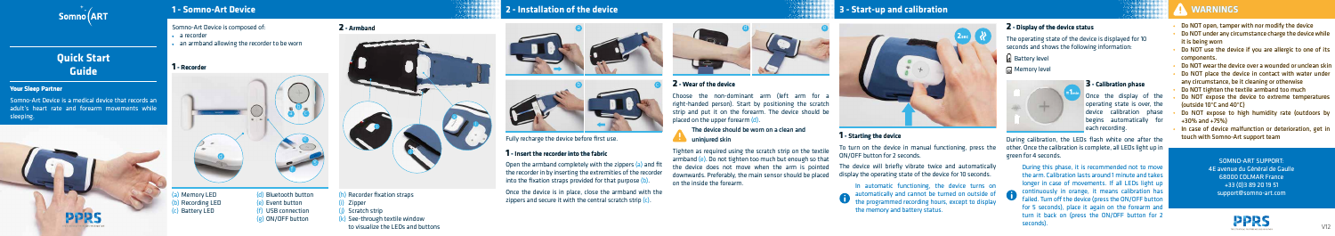

# **Quick Start Guide**

### Your Sleep Partner

Somno-Art Device is a medical device that records an adult's heart rate and forearm movements while sleeping.



### Somno-Art Device is composed of:

- a recorder
- an armband allowing the recorder to be worn

(a) (b) (c) Battery LED Memory LED Recording LED (d) Bluetooth button (e) (e) Event button (f) USB connection (g) ON/OFF button

- Do NOT open, tamper with nor modify the device
- Do NOT under any circumstance charge the device while it is being worn
- Do NOT use the device if you are allergic to one of its components.
- Do NOT wear the device over a wounded or unclean skin
- Do NOT place the device in contact with water under any circumstance, be it cleaning or otherwise
- Do NOT tighten the textile armband too much
- Do NOT expose the device to extreme temperatures (outside 10°C and 40°C)
- Do NOT expose to high humidity rate (outdoors by +30% and +75%)
- In case of device malfunction or deterioration, get in touch with Somno-Art support team

Once the device is in place, close the armband with the zippers and secure it with the central scratch strip  $(c)$ .

Choose the non-dominant arm (left arm for a right-handed person). Start by positioning the scratch strip and put it on the forearm. The device should be placed on the upper forearm (d).

## **1** - Insert the recorder into the fabric

Open the armband completely with the zippers (a) and fit the recorder in by inserting the extremities of the recorder into the fixation straps provided for that purpose (b).

Fully recharge the device before first use.

# **WARNINGS WARNINGS**

SOMNO-ART SUPPORT: 4E avenue du Général de Gaulle 68000 COLMAR France +33 (0)3 89 20 19 51 support@somno-art.com



# **1** - Recorder

### **2** - Armband

**Once the display of the** operating state is over, the device calibration phase begins automatically for each recording.

- (h) Recorder fixation straps
- (i) Zipper
- (j) Scratch strip
- (k) See-through textile window to visualize the LEDs and buttons

## **2** - Wear of the device

During this phase, it is recommended not to move the arm. Calibration lasts around 1 minute and takes longer in case of movements. If all LEDs light up failed. Turn off the device (press the ON/OFF button for 5 seconds), place it again on the forearm and turn it back on (press the ON/OFF button for 2 seconds).

### The device should be worn on a clean and uninjured skin

Tighten as required using the scratch strip on the textile armband (e). Do not tighten too much but enough so that the device does not move when the arm is pointed the device does not move when the arm is pointed<br>downwards. Preferably, the main sensor should be placed on the inside the forearm.

# **1 - Somno-Art Device 2 - Installation of the device 3 - Start-up and calibration**

## **2** - Display of the device status

The operating state of the device is displayed for 10 seconds and shows the following information:

a Battery level

### Memory level



# **1** - Starting the device

To turn on the device in manual functioning, press the ON/OFF button for 2 seconds.

The device will briefly vibrate twice and automatically display the operating state of the device for 10 seconds.

In automatic functioning, the device turns on automatically and cannot be turned on outside of **Continuously in orange**, it means calibration has the programmed recording hours, except to display the memory and battery status.











### **3** - Calibration phase

During calibration, the LEDs flash white one after the other. Once the calibration is complete, all LEDs light up in green for 4 seconds.